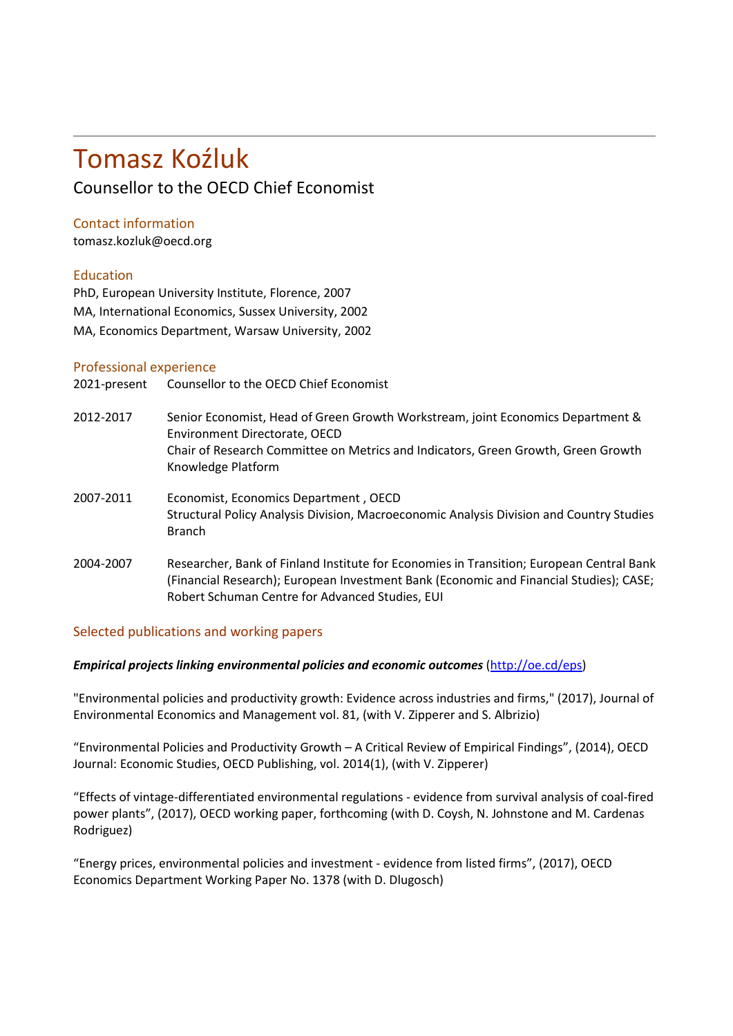# Tomasz Koźluk

Counsellor to the OECD Chief Economist

## Contact information

tomasz.kozluk@oecd.org

## Education

PhD, European University Institute, Florence, 2007 MA, International Economics, Sussex University, 2002 MA, Economics Department, Warsaw University, 2002

### Professional experience

| 2021-present | Counsellor to the OECD Chief Economist                                                                                                                                                                                                |
|--------------|---------------------------------------------------------------------------------------------------------------------------------------------------------------------------------------------------------------------------------------|
| 2012-2017    | Senior Economist, Head of Green Growth Workstream, joint Economics Department &<br>Environment Directorate, OECD<br>Chair of Research Committee on Metrics and Indicators, Green Growth, Green Growth<br>Knowledge Platform           |
| 2007-2011    | Economist, Economics Department, OECD<br>Structural Policy Analysis Division, Macroeconomic Analysis Division and Country Studies<br><b>Branch</b>                                                                                    |
| 2004-2007    | Researcher, Bank of Finland Institute for Economies in Transition; European Central Bank<br>(Financial Research); European Investment Bank (Economic and Financial Studies); CASE;<br>Robert Schuman Centre for Advanced Studies, EUI |

## Selected publications and working papers

#### *Empirical projects linking environmental policies and economic outcomes* ([http://oe.cd/eps\)](http://oe.cd/eps)

"Environmental policies and productivity growth: Evidence across industries and firms," (2017), Journal of Environmental Economics and Management vol. 81, (with V. Zipperer and S. Albrizio)

"Environmental Policies and Productivity Growth – A Critical Review of Empirical Findings", (2014), OECD Journal: Economic Studies, OECD Publishing, vol. 2014(1), (with V. Zipperer)

"Effects of vintage-differentiated environmental regulations - evidence from survival analysis of coal-fired power plants", (2017), OECD working paper, forthcoming (with D. Coysh, N. Johnstone and M. Cardenas Rodriguez)

"Energy prices, environmental policies and investment - evidence from listed firms", (2017), OECD Economics Department Working Paper No. 1378 (with D. Dlugosch)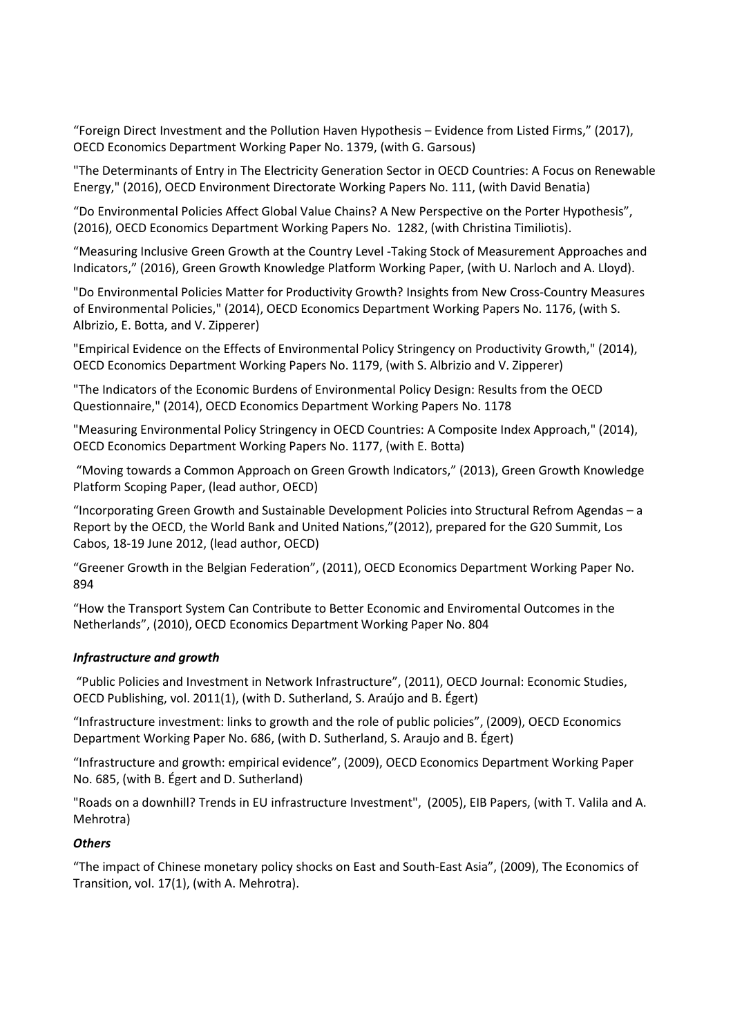"Foreign Direct Investment and the Pollution Haven Hypothesis – Evidence from Listed Firms," (2017), OECD Economics Department Working Paper No. 1379, (with G. Garsous)

"The Determinants of Entry in The Electricity Generation Sector in OECD Countries: A Focus on Renewable Energy," (2016), OECD Environment Directorate Working Papers No. 111, (with David Benatia)

"Do Environmental Policies Affect Global Value Chains? A New Perspective on the Porter Hypothesis", (2016), OECD Economics Department Working Papers No. 1282, (with Christina Timiliotis).

"Measuring Inclusive Green Growth at the Country Level -Taking Stock of Measurement Approaches and Indicators," (2016), Green Growth Knowledge Platform Working Paper, (with U. Narloch and A. Lloyd).

"Do Environmental Policies Matter for Productivity Growth? Insights from New Cross-Country Measures of Environmental Policies," (2014), OECD Economics Department Working Papers No. 1176, (with S. Albrizio, E. Botta, and V. Zipperer)

"Empirical Evidence on the Effects of Environmental Policy Stringency on Productivity Growth," (2014), OECD Economics Department Working Papers No. 1179, (with S. Albrizio and V. Zipperer)

"The Indicators of the Economic Burdens of Environmental Policy Design: Results from the OECD Questionnaire," (2014), OECD Economics Department Working Papers No. 1178

"Measuring Environmental Policy Stringency in OECD Countries: A Composite Index Approach," (2014), OECD Economics Department Working Papers No. 1177, (with E. Botta)

"Moving towards a Common Approach on Green Growth Indicators," (2013), Green Growth Knowledge Platform Scoping Paper, (lead author, OECD)

"Incorporating Green Growth and Sustainable Development Policies into Structural Refrom Agendas – a Report by the OECD, the World Bank and United Nations,"(2012), prepared for the G20 Summit, Los Cabos, 18-19 June 2012, (lead author, OECD)

"Greener Growth in the Belgian Federation", (2011), OECD Economics Department Working Paper No. 894

"How the Transport System Can Contribute to Better Economic and Enviromental Outcomes in the Netherlands", (2010), OECD Economics Department Working Paper No. 804

#### *Infrastructure and growth*

"Public Policies and Investment in Network Infrastructure", (2011), OECD Journal: Economic Studies, OECD Publishing, vol. 2011(1), (with D. Sutherland, S. Araújo and B. Égert)

"Infrastructure investment: links to growth and the role of public policies", (2009), OECD Economics Department Working Paper No. 686, (with D. Sutherland, S. Araujo and B. Égert)

"Infrastructure and growth: empirical evidence", (2009), OECD Economics Department Working Paper No. 685, (with B. Égert and D. Sutherland)

"Roads on a downhill? Trends in EU infrastructure Investment", (2005), EIB Papers, (with T. Valila and A. Mehrotra)

#### *Others*

"The impact of Chinese monetary policy shocks on East and South-East Asia", (2009), The Economics of Transition, vol. 17(1), (with A. Mehrotra).